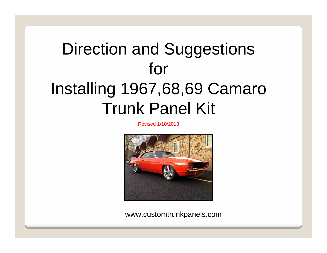# Direction and Suggestions for Installing 1967,68,69 Camaro Trunk Panel Kit

Revised 1/10/2013

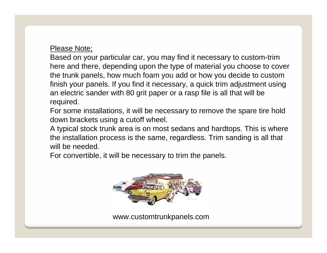## Please Note;

Based on your particular car, you may find it necessary to custom-trim here and there, depending upon the type of material you choose to cover the trunk panels, how much foam you add or how you decide to custom finish your panels. If you find it necessary, a quick trim adjustment using an electric sander with 80 grit paper or a rasp file is all that will be required.

For some installations, it will be necessary to remove the spare tire hold down brackets using a cutoff wheel.

A typical stock trunk area is on most sedans and hardtops. This is where the installation process is the same, regardless. Trim sanding is all that will be needed.

For convertible, it will be necessary to trim the panels.

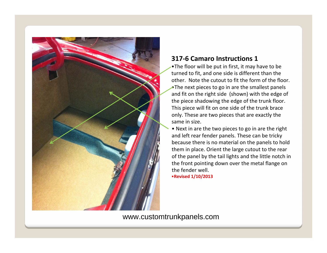

### **317‐6 Camaro Instructions 1**

•The floor will be put in first, it may have to be turned to fit, and one side is different than the other. Note the cutout to fit the form of the floor. •The next pieces to go in are the smallest panels and fit on the right side (shown) with the edge of the piece shadowing the edge of the trunk floor. This piece will fit on one side of the trunk brace only. These are two pieces that are exactly the same in size.

• Next in are the two pieces to go in are the right and left rear fender panels. These can be tricky because there is no material on the panels to hold them in place. Orient the large cutout to the rear of the panel by the tail lights and the little notch in the front pointing down over the metal flange on the fender well. •**Revised 1/10/2013**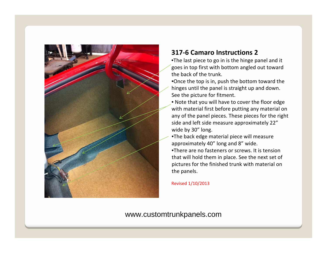

## **317‐6 Camaro Instructions 2**

•The last piece to go in is the hinge panel and it goes in top first with bottom angled out toward the back of the trunk.

•Once the top is in, push the bottom toward the hinges until the panel is straight up and down. See the picture for fitment.

- Note that you will have to cover the floor edge with material first before putting any material on any of the panel pieces. These pieces for the right side and left side measure approximately 22" wide by 30" long.
- •The back edge material piece will measure approximately 40" long and 8" wide.

•There are no fasteners or screws. It is tension that will hold them in place. See the next set of pictures for the finished trunk with material on the panels.

Revised 1/10/2013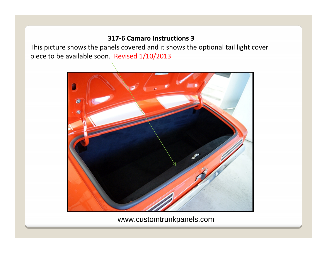#### **317‐6 Camaro Instructions 3**

This picture shows the panels covered and it shows the optional tail light cover piece to be available soon. Revised 1/10/2013